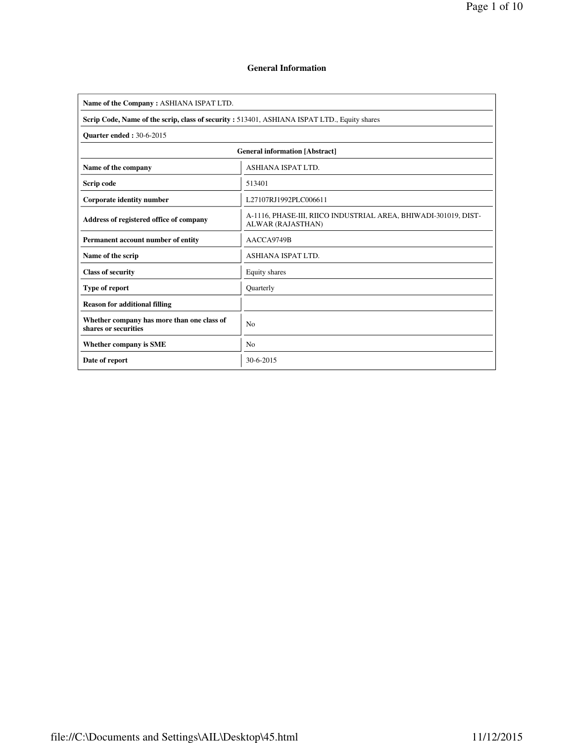$\overline{\phantom{a}}$ 

### **General Information**

| Name of the Company: ASHIANA ISPAT LTD.                                                     |                                                                                      |  |  |  |  |  |  |  |
|---------------------------------------------------------------------------------------------|--------------------------------------------------------------------------------------|--|--|--|--|--|--|--|
| Scrip Code, Name of the scrip, class of security: 513401, ASHIANA ISPAT LTD., Equity shares |                                                                                      |  |  |  |  |  |  |  |
| <b>Ouarter ended: 30-6-2015</b>                                                             |                                                                                      |  |  |  |  |  |  |  |
| <b>General information [Abstract]</b>                                                       |                                                                                      |  |  |  |  |  |  |  |
| Name of the company<br><b>ASHIANA ISPAT LTD.</b>                                            |                                                                                      |  |  |  |  |  |  |  |
| Scrip code                                                                                  | 513401                                                                               |  |  |  |  |  |  |  |
| Corporate identity number                                                                   | L27107RJ1992PLC006611                                                                |  |  |  |  |  |  |  |
| Address of registered office of company                                                     | A-1116, PHASE-III, RIICO INDUSTRIAL AREA, BHIWADI-301019, DIST-<br>ALWAR (RAJASTHAN) |  |  |  |  |  |  |  |
| Permanent account number of entity                                                          | AACCA9749B                                                                           |  |  |  |  |  |  |  |
| Name of the scrip                                                                           | <b>ASHIANA ISPAT LTD.</b>                                                            |  |  |  |  |  |  |  |
| <b>Class of security</b>                                                                    | Equity shares                                                                        |  |  |  |  |  |  |  |
| Type of report                                                                              | Quarterly                                                                            |  |  |  |  |  |  |  |
| <b>Reason for additional filling</b>                                                        |                                                                                      |  |  |  |  |  |  |  |
| Whether company has more than one class of<br>shares or securities                          | <b>No</b>                                                                            |  |  |  |  |  |  |  |
| Whether company is SME                                                                      | N <sub>0</sub>                                                                       |  |  |  |  |  |  |  |
| Date of report                                                                              | 30-6-2015                                                                            |  |  |  |  |  |  |  |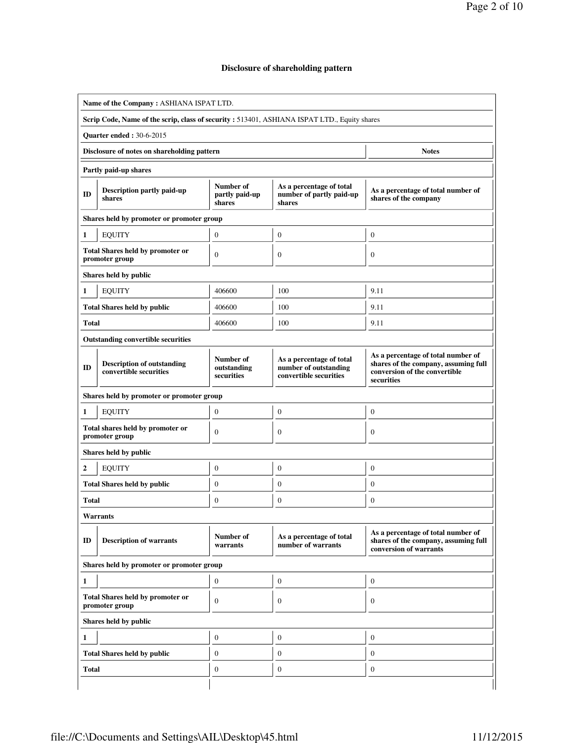# Page 2 of 10

## **Disclosure of shareholding pattern**

|                                                             | Name of the Company: ASHIANA ISPAT LTD.                                                      |                                        |                                                                             |                                                                                                                           |  |  |  |  |  |  |  |
|-------------------------------------------------------------|----------------------------------------------------------------------------------------------|----------------------------------------|-----------------------------------------------------------------------------|---------------------------------------------------------------------------------------------------------------------------|--|--|--|--|--|--|--|
|                                                             | Scrip Code, Name of the scrip, class of security : 513401, ASHIANA ISPAT LTD., Equity shares |                                        |                                                                             |                                                                                                                           |  |  |  |  |  |  |  |
|                                                             | <b>Quarter ended: 30-6-2015</b>                                                              |                                        |                                                                             |                                                                                                                           |  |  |  |  |  |  |  |
| Disclosure of notes on shareholding pattern<br><b>Notes</b> |                                                                                              |                                        |                                                                             |                                                                                                                           |  |  |  |  |  |  |  |
|                                                             | Partly paid-up shares                                                                        |                                        |                                                                             |                                                                                                                           |  |  |  |  |  |  |  |
| ID                                                          | <b>Description partly paid-up</b><br>shares                                                  | Number of<br>partly paid-up<br>shares  | As a percentage of total<br>number of partly paid-up<br>shares              | As a percentage of total number of<br>shares of the company                                                               |  |  |  |  |  |  |  |
|                                                             | Shares held by promoter or promoter group                                                    |                                        |                                                                             |                                                                                                                           |  |  |  |  |  |  |  |
| 1                                                           | <b>EQUITY</b>                                                                                | $\boldsymbol{0}$                       | $\mathbf{0}$                                                                | $\boldsymbol{0}$                                                                                                          |  |  |  |  |  |  |  |
|                                                             | <b>Total Shares held by promoter or</b><br>promoter group                                    | $\theta$                               | $\mathbf{0}$                                                                | $\boldsymbol{0}$                                                                                                          |  |  |  |  |  |  |  |
|                                                             | Shares held by public                                                                        |                                        |                                                                             |                                                                                                                           |  |  |  |  |  |  |  |
| 1                                                           | <b>EQUITY</b>                                                                                | 406600                                 | 100                                                                         | 9.11                                                                                                                      |  |  |  |  |  |  |  |
|                                                             | <b>Total Shares held by public</b>                                                           | 406600                                 | 100                                                                         | 9.11                                                                                                                      |  |  |  |  |  |  |  |
| <b>Total</b>                                                |                                                                                              | 406600                                 | 100                                                                         | 9.11                                                                                                                      |  |  |  |  |  |  |  |
|                                                             | <b>Outstanding convertible securities</b>                                                    |                                        |                                                                             |                                                                                                                           |  |  |  |  |  |  |  |
| ID                                                          | <b>Description of outstanding</b><br>convertible securities                                  | Number of<br>outstanding<br>securities | As a percentage of total<br>number of outstanding<br>convertible securities | As a percentage of total number of<br>shares of the company, assuming full<br>conversion of the convertible<br>securities |  |  |  |  |  |  |  |
|                                                             | Shares held by promoter or promoter group                                                    |                                        |                                                                             |                                                                                                                           |  |  |  |  |  |  |  |
| 1                                                           | <b>EQUITY</b>                                                                                | $\boldsymbol{0}$                       | $\boldsymbol{0}$                                                            | $\boldsymbol{0}$                                                                                                          |  |  |  |  |  |  |  |
|                                                             | Total shares held by promoter or<br>promoter group                                           | $\Omega$                               | $\theta$                                                                    | $\boldsymbol{0}$                                                                                                          |  |  |  |  |  |  |  |
|                                                             | Shares held by public                                                                        |                                        |                                                                             |                                                                                                                           |  |  |  |  |  |  |  |
| $\mathbf{2}$                                                | <b>EQUITY</b>                                                                                | $\boldsymbol{0}$                       | $\mathbf{0}$                                                                | $\boldsymbol{0}$                                                                                                          |  |  |  |  |  |  |  |
|                                                             | <b>Total Shares held by public</b>                                                           | $\theta$                               | $\mathbf{0}$                                                                | $\boldsymbol{0}$                                                                                                          |  |  |  |  |  |  |  |
| Total                                                       |                                                                                              | $\theta$                               | $\theta$                                                                    | $\boldsymbol{0}$                                                                                                          |  |  |  |  |  |  |  |
|                                                             | Warrants                                                                                     |                                        |                                                                             |                                                                                                                           |  |  |  |  |  |  |  |
| ID                                                          | <b>Description of warrants</b>                                                               | Number of<br>warrants                  | As a percentage of total<br>number of warrants                              | As a percentage of total number of<br>shares of the company, assuming full<br>conversion of warrants                      |  |  |  |  |  |  |  |
|                                                             | Shares held by promoter or promoter group                                                    |                                        |                                                                             |                                                                                                                           |  |  |  |  |  |  |  |
| 1                                                           |                                                                                              | $\mathbf{0}$                           | $\boldsymbol{0}$                                                            | $\boldsymbol{0}$                                                                                                          |  |  |  |  |  |  |  |
|                                                             | <b>Total Shares held by promoter or</b><br>promoter group                                    | $\mathbf{0}$                           | $\theta$                                                                    | $\boldsymbol{0}$                                                                                                          |  |  |  |  |  |  |  |
|                                                             | Shares held by public                                                                        |                                        |                                                                             |                                                                                                                           |  |  |  |  |  |  |  |
| 1                                                           |                                                                                              | $\mathbf{0}$                           | $\boldsymbol{0}$                                                            | $\boldsymbol{0}$                                                                                                          |  |  |  |  |  |  |  |
|                                                             | <b>Total Shares held by public</b>                                                           | $\boldsymbol{0}$                       | $\boldsymbol{0}$                                                            | $\boldsymbol{0}$                                                                                                          |  |  |  |  |  |  |  |
| <b>Total</b>                                                |                                                                                              | $\mathbf{0}$                           | $\mathbf{0}$                                                                | $\boldsymbol{0}$                                                                                                          |  |  |  |  |  |  |  |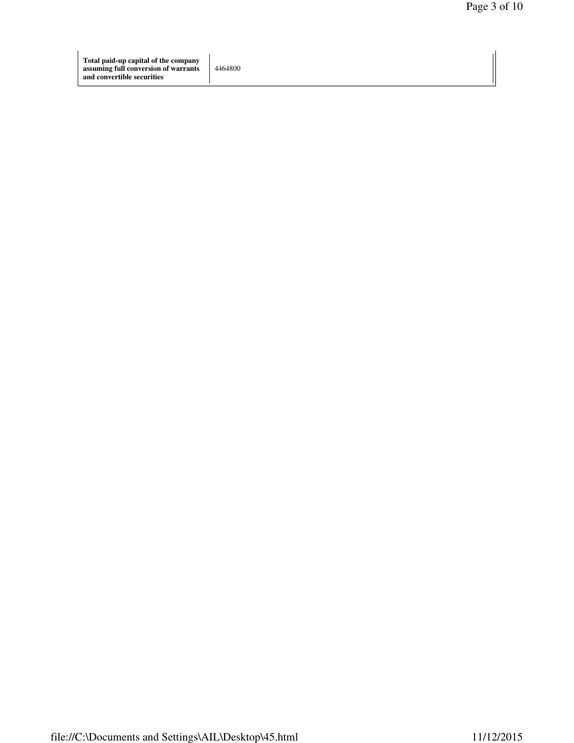4464800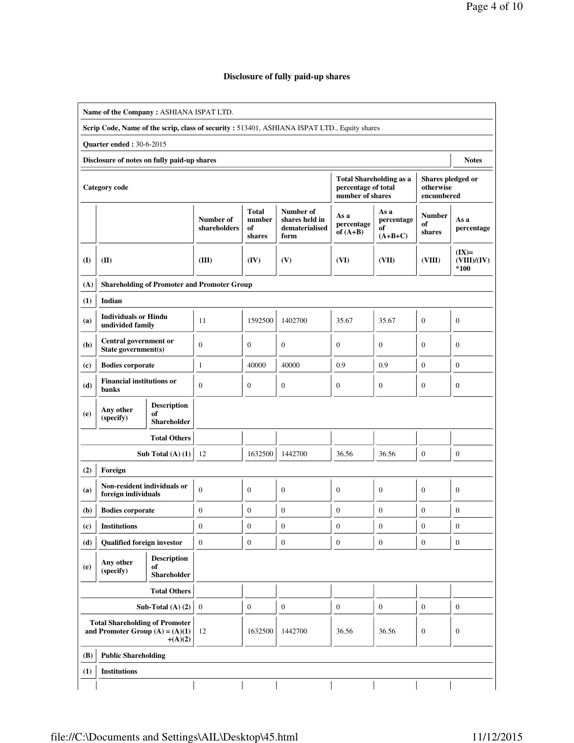## **Disclosure of fully paid-up shares**

|                             | Name of the Company: ASHIANA ISPAT LTD.                                                      |                                                |                                                    |                                        |                                                       |                                                                           |                                       |                                              |                                |  |  |  |
|-----------------------------|----------------------------------------------------------------------------------------------|------------------------------------------------|----------------------------------------------------|----------------------------------------|-------------------------------------------------------|---------------------------------------------------------------------------|---------------------------------------|----------------------------------------------|--------------------------------|--|--|--|
|                             | Scrip Code, Name of the scrip, class of security : 513401, ASHIANA ISPAT LTD., Equity shares |                                                |                                                    |                                        |                                                       |                                                                           |                                       |                                              |                                |  |  |  |
|                             | <b>Quarter ended: 30-6-2015</b>                                                              |                                                |                                                    |                                        |                                                       |                                                                           |                                       |                                              |                                |  |  |  |
|                             | Disclosure of notes on fully paid-up shares<br><b>Notes</b>                                  |                                                |                                                    |                                        |                                                       |                                                                           |                                       |                                              |                                |  |  |  |
|                             | <b>Category</b> code                                                                         |                                                |                                                    |                                        |                                                       | <b>Total Shareholding as a</b><br>percentage of total<br>number of shares |                                       | Shares pledged or<br>otherwise<br>encumbered |                                |  |  |  |
|                             |                                                                                              |                                                | Number of<br>shareholders                          | <b>Total</b><br>number<br>of<br>shares | Number of<br>shares held in<br>dematerialised<br>form | As a<br>percentage<br>of $(A+B)$                                          | As a<br>percentage<br>of<br>$(A+B+C)$ | <b>Number</b><br>of<br>shares                | As a<br>percentage             |  |  |  |
| (I)                         | (II)                                                                                         |                                                | (III)                                              | (IV)                                   | (V)                                                   | (VI)                                                                      | (VII)                                 | (VIII)                                       | $(IX)=$<br>(VIII)/(IV)<br>*100 |  |  |  |
| (A)                         |                                                                                              |                                                | <b>Shareholding of Promoter and Promoter Group</b> |                                        |                                                       |                                                                           |                                       |                                              |                                |  |  |  |
| (1)                         | Indian                                                                                       |                                                |                                                    |                                        |                                                       |                                                                           |                                       |                                              |                                |  |  |  |
| (a)                         | <b>Individuals or Hindu</b><br>undivided family                                              |                                                | 11                                                 | 1592500                                | 1402700                                               | 35.67                                                                     | 35.67                                 | $\mathbf{0}$                                 | $\boldsymbol{0}$               |  |  |  |
| (b)                         | Central government or<br>State government(s)                                                 |                                                | $\mathbf{0}$                                       | $\mathbf{0}$                           | $\boldsymbol{0}$                                      | $\mathbf{0}$                                                              | $\boldsymbol{0}$                      | $\mathbf{0}$                                 | $\boldsymbol{0}$               |  |  |  |
| $\left( \mathbf{c} \right)$ |                                                                                              | <b>Bodies corporate</b>                        |                                                    | 40000                                  | 40000                                                 | 0.9                                                                       | 0.9                                   | $\boldsymbol{0}$                             | $\boldsymbol{0}$               |  |  |  |
| (d)                         | <b>Financial institutions or</b><br>banks                                                    |                                                | $\mathbf{0}$                                       | $\mathbf{0}$                           | $\boldsymbol{0}$                                      | $\boldsymbol{0}$                                                          | $\boldsymbol{0}$                      | $\mathbf{0}$                                 | $\mathbf{0}$                   |  |  |  |
| (e)                         | Any other                                                                                    | <b>Description</b><br>of                       |                                                    |                                        |                                                       |                                                                           |                                       |                                              |                                |  |  |  |
|                             | (specify)                                                                                    | <b>Shareholder</b>                             |                                                    |                                        |                                                       |                                                                           |                                       |                                              |                                |  |  |  |
|                             |                                                                                              | <b>Total Others</b>                            |                                                    |                                        |                                                       |                                                                           |                                       |                                              |                                |  |  |  |
|                             |                                                                                              | Sub Total $(A)$ $(1)$                          | 12                                                 | 1632500                                | 1442700                                               | 36.56                                                                     | 36.56                                 | $\boldsymbol{0}$                             | $\mathbf{0}$                   |  |  |  |
| (2)                         | Foreign                                                                                      |                                                |                                                    |                                        |                                                       |                                                                           |                                       |                                              |                                |  |  |  |
| (a)                         | Non-resident individuals or<br>foreign individuals                                           |                                                | $\mathbf{0}$                                       | $\mathbf{0}$                           | $\mathbf{0}$                                          | $\mathbf{0}$                                                              | $\boldsymbol{0}$                      | $\theta$                                     | $\boldsymbol{0}$               |  |  |  |
| (b)                         | <b>Bodies corporate</b>                                                                      |                                                | $\boldsymbol{0}$                                   | $\mathbf{0}$                           | $\boldsymbol{0}$                                      | $\mathbf{0}$                                                              | $\boldsymbol{0}$                      | $\boldsymbol{0}$                             | $\boldsymbol{0}$               |  |  |  |
| (c)                         | <b>Institutions</b>                                                                          |                                                | $\boldsymbol{0}$                                   | $\boldsymbol{0}$                       | л<br>$\boldsymbol{0}$                                 | $\boldsymbol{0}$                                                          | $\boldsymbol{0}$                      | $\boldsymbol{0}$                             | $\boldsymbol{0}$               |  |  |  |
| (d)                         | <b>Qualified foreign investor</b>                                                            |                                                | $\mathbf{0}$                                       | $\mathbf{0}$                           | $\mathbf{0}$                                          | $\mathbf{0}$                                                              | $\mathbf{0}$                          | $\mathbf{0}$                                 | $\boldsymbol{0}$               |  |  |  |
| (e)                         | Any other<br>(specify)                                                                       | <b>Description</b><br>of<br><b>Shareholder</b> |                                                    |                                        |                                                       |                                                                           |                                       |                                              |                                |  |  |  |
|                             |                                                                                              | <b>Total Others</b>                            |                                                    |                                        |                                                       |                                                                           |                                       |                                              |                                |  |  |  |
|                             |                                                                                              | Sub-Total $(A)$ $(2)$                          | $\mathbf{0}$                                       | $\mathbf{0}$                           | $\boldsymbol{0}$                                      | $\boldsymbol{0}$                                                          | $\boldsymbol{0}$                      | $\mathbf{0}$                                 | $\boldsymbol{0}$               |  |  |  |
|                             | <b>Total Shareholding of Promoter</b><br>and Promoter Group $(A) = (A)(1)$                   | $+(A)(2)$                                      | 12                                                 | 1632500                                | 1442700                                               | 36.56                                                                     | 36.56                                 | $\mathbf{0}$                                 | $\mathbf{0}$                   |  |  |  |
| (B)                         | <b>Public Shareholding</b>                                                                   |                                                |                                                    |                                        |                                                       |                                                                           |                                       |                                              |                                |  |  |  |
| (1)                         | <b>Institutions</b>                                                                          |                                                |                                                    |                                        |                                                       |                                                                           |                                       |                                              |                                |  |  |  |
|                             |                                                                                              |                                                |                                                    |                                        |                                                       |                                                                           |                                       |                                              |                                |  |  |  |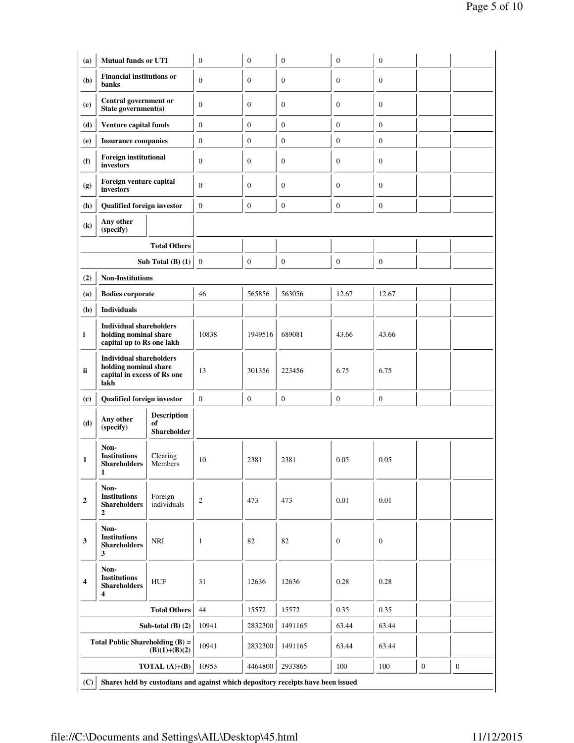| (a)                        | <b>Mutual funds or UTI</b>                                                                     |                                                | $\boldsymbol{0}$ | $\boldsymbol{0}$ | $\boldsymbol{0}$ | $\boldsymbol{0}$ | $\boldsymbol{0}$ |  |
|----------------------------|------------------------------------------------------------------------------------------------|------------------------------------------------|------------------|------------------|------------------|------------------|------------------|--|
|                            | <b>Financial institutions or</b>                                                               |                                                |                  |                  |                  |                  |                  |  |
| (b)                        | banks                                                                                          |                                                | $\mathbf{0}$     | $\mathbf{0}$     | $\boldsymbol{0}$ | $\mathbf{0}$     | $\mathbf{0}$     |  |
| (c)                        | <b>Central government or</b><br>State government(s)                                            |                                                | $\boldsymbol{0}$ | $\boldsymbol{0}$ | $\boldsymbol{0}$ | $\boldsymbol{0}$ | $\boldsymbol{0}$ |  |
| (d)                        | Venture capital funds                                                                          |                                                | $\boldsymbol{0}$ | $\boldsymbol{0}$ | $\boldsymbol{0}$ | $\boldsymbol{0}$ | $\mathbf{0}$     |  |
| (e)                        | <b>Insurance companies</b>                                                                     |                                                | 0                | $\boldsymbol{0}$ | $\boldsymbol{0}$ | $\boldsymbol{0}$ | $\boldsymbol{0}$ |  |
| (f)                        | <b>Foreign institutional</b><br>investors                                                      |                                                | 0                | $\boldsymbol{0}$ | $\boldsymbol{0}$ | $\boldsymbol{0}$ | $\boldsymbol{0}$ |  |
| (g)                        | Foreign venture capital<br>investors                                                           |                                                | $\boldsymbol{0}$ | $\boldsymbol{0}$ | $\boldsymbol{0}$ | $\boldsymbol{0}$ | $\mathbf{0}$     |  |
| (h)                        | <b>Qualified foreign investor</b>                                                              |                                                | $\mathbf{0}$     | $\mathbf{0}$     | $\boldsymbol{0}$ | $\mathbf{0}$     | $\mathbf{0}$     |  |
| $\left( \mathbf{k}\right)$ | Any other<br>(specify)                                                                         |                                                |                  |                  |                  |                  |                  |  |
|                            |                                                                                                | <b>Total Others</b>                            |                  |                  |                  |                  |                  |  |
|                            |                                                                                                | Sub Total $(B)$ $(1)$                          | $\mathbf{0}$     | $\mathbf{0}$     | $\mathbf{0}$     | $\mathbf{0}$     | $\mathbf{0}$     |  |
| (2)                        | <b>Non-Institutions</b>                                                                        |                                                |                  |                  |                  |                  |                  |  |
| (a)                        | <b>Bodies corporate</b>                                                                        |                                                | 46               | 565856           | 563056           | 12.67            | 12.67            |  |
| (b)                        | <b>Individuals</b>                                                                             |                                                |                  |                  |                  |                  |                  |  |
| i                          | <b>Individual shareholders</b><br>holding nominal share<br>capital up to Rs one lakh           |                                                | 10838            | 1949516          | 689081           | 43.66            | 43.66            |  |
| ii                         | <b>Individual shareholders</b><br>holding nominal share<br>capital in excess of Rs one<br>lakh |                                                | 13               | 301356           | 223456           | 6.75             | 6.75             |  |
| (c)                        | Qualified foreign investor                                                                     |                                                | $\mathbf{0}$     | $\boldsymbol{0}$ | $\boldsymbol{0}$ | $\boldsymbol{0}$ | $\boldsymbol{0}$ |  |
| (d)                        | Any other<br>(specify)                                                                         | <b>Description</b><br>of<br><b>Shareholder</b> |                  |                  |                  |                  |                  |  |
| 1                          | Non-<br><b>Institutions</b><br><b>Shareholders</b><br>1                                        | Clearing<br>Members                            | 10               | 2381             | 2381             | 0.05             | 0.05             |  |
| $\boldsymbol{2}$           | Non-<br><b>Institutions</b><br><b>Shareholders</b><br>$\mathbf{2}$                             | Foreign<br>individuals                         | $\overline{c}$   | 473              | 473              | 0.01             | 0.01             |  |
| 3                          | Non-<br><b>Institutions</b><br><b>Shareholders</b><br>3                                        | $\rm NRI$                                      | $\mathbf{1}$     | 82               | 82               | $\boldsymbol{0}$ | $\boldsymbol{0}$ |  |
| 4                          | Non-<br><b>Institutions</b><br><b>Shareholders</b><br>4                                        | ${\rm HUF}$                                    | 31               | 12636            | 12636            | 0.28             | 0.28             |  |
|                            |                                                                                                | <b>Total Others</b>                            | 44               | 15572            | 15572            | 0.35             | 0.35             |  |
|                            |                                                                                                |                                                |                  |                  | 1491165          | 63.44            | 63.44            |  |
|                            |                                                                                                | Sub-total $(B)$ $(2)$                          | 10941            | 2832300          |                  |                  |                  |  |
|                            | Total Public Shareholding $(B)$ =                                                              | $(B)(1)+(B)(2)$                                | 10941            | 2832300          | 1491165          | 63.44            | 63.44            |  |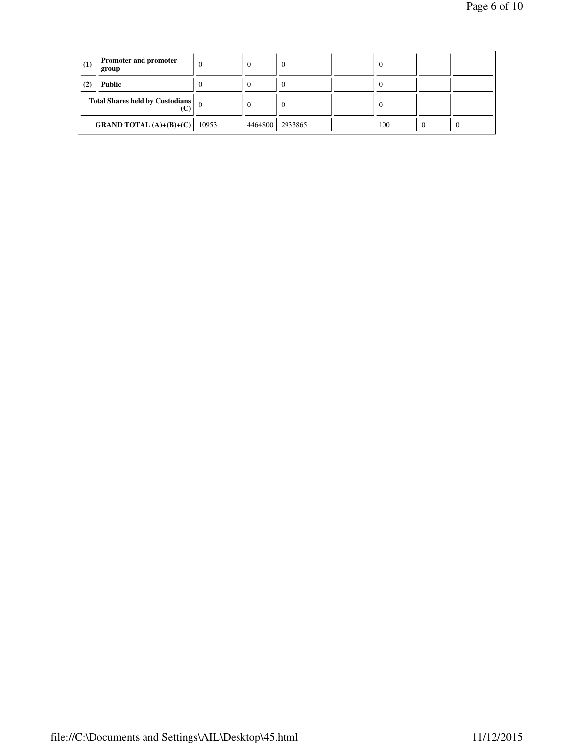| (1) | Promoter and promoter<br>group                           | $\Omega$ | $\Omega$ |         | $\overline{0}$ |   |  |
|-----|----------------------------------------------------------|----------|----------|---------|----------------|---|--|
| (2) | <b>Public</b>                                            |          |          |         | $\Omega$       |   |  |
|     | <b>Total Shares held by Custodians</b><br>$\mathbf{(C)}$ |          | $\Omega$ | -0      | $\overline{0}$ |   |  |
|     | <b>GRAND TOTAL</b> (A)+(B)+(C)                           | 10953    | 4464800  | 2933865 | 100            | U |  |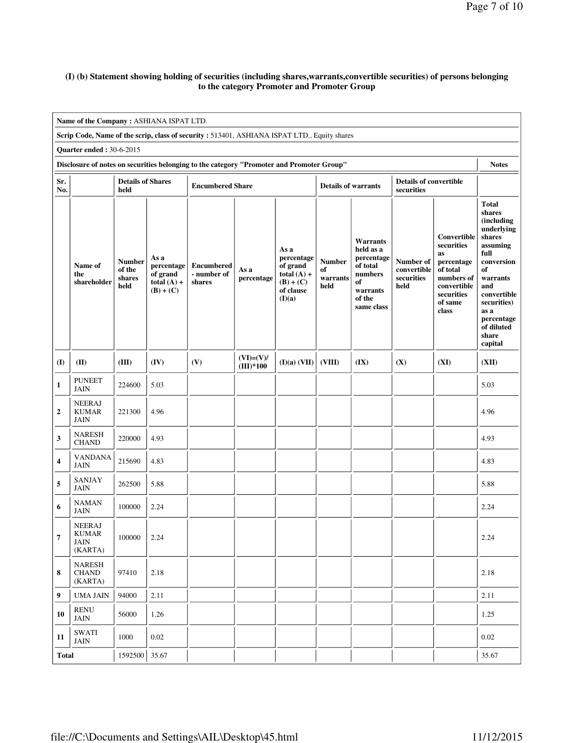### **(I) (b) Statement showing holding of securities (including shares,warrants,convertible securities) of persons belonging to the category Promoter and Promoter Group**

|                                                                                                           | Name of the Company: ASHIANA ISPAT LTD.                                                      |                                           |                                                                |                                            |                            |                                                                                       |                                         |                                                                                                             |                                                |                                                                                                                          |                                                                                                                                                                                                               |  |
|-----------------------------------------------------------------------------------------------------------|----------------------------------------------------------------------------------------------|-------------------------------------------|----------------------------------------------------------------|--------------------------------------------|----------------------------|---------------------------------------------------------------------------------------|-----------------------------------------|-------------------------------------------------------------------------------------------------------------|------------------------------------------------|--------------------------------------------------------------------------------------------------------------------------|---------------------------------------------------------------------------------------------------------------------------------------------------------------------------------------------------------------|--|
|                                                                                                           | Scrip Code, Name of the scrip, class of security : 513401, ASHIANA ISPAT LTD., Equity shares |                                           |                                                                |                                            |                            |                                                                                       |                                         |                                                                                                             |                                                |                                                                                                                          |                                                                                                                                                                                                               |  |
|                                                                                                           | <b>Quarter ended: 30-6-2015</b>                                                              |                                           |                                                                |                                            |                            |                                                                                       |                                         |                                                                                                             |                                                |                                                                                                                          |                                                                                                                                                                                                               |  |
| Disclosure of notes on securities belonging to the category "Promoter and Promoter Group"<br><b>Notes</b> |                                                                                              |                                           |                                                                |                                            |                            |                                                                                       |                                         |                                                                                                             |                                                |                                                                                                                          |                                                                                                                                                                                                               |  |
| Sr.<br>No.                                                                                                |                                                                                              | <b>Details of Shares</b><br>held          |                                                                | <b>Encumbered Share</b>                    |                            |                                                                                       | <b>Details of warrants</b>              |                                                                                                             | <b>Details of convertible</b><br>securities    |                                                                                                                          |                                                                                                                                                                                                               |  |
|                                                                                                           | Name of<br>the<br>shareholder                                                                | <b>Number</b><br>of the<br>shares<br>held | As a<br>percentage<br>of grand<br>total $(A)$ +<br>$(B) + (C)$ | <b>Encumbered</b><br>- number of<br>shares | As a<br>percentage         | As a<br>percentage<br>of grand<br>total $(A)$ +<br>$(B) + (C)$<br>of clause<br>(I)(a) | <b>Number</b><br>of<br>warrants<br>held | <b>Warrants</b><br>held as a<br>percentage<br>of total<br>numbers<br>of<br>warrants<br>of the<br>same class | Number of<br>convertible<br>securities<br>held | Convertible<br>securities<br>as<br>percentage<br>of total<br>numbers of<br>convertible<br>securities<br>of same<br>class | <b>Total</b><br>shares<br>(including<br>underlying<br>shares<br>assuming<br>full<br>conversion<br>of<br>warrants<br>and<br>convertible<br>securities)<br>as a<br>percentage<br>of diluted<br>share<br>capital |  |
| (I)                                                                                                       | (II)                                                                                         | (III)                                     | (IV)                                                           | (V)                                        | $(VI)=(V)/$<br>$(III)*100$ | $(I)(a)$ $(VII)$                                                                      | (VIII)                                  | (IX)                                                                                                        | (X)                                            | (XI)                                                                                                                     | (XII)                                                                                                                                                                                                         |  |
| 1                                                                                                         | <b>PUNEET</b><br>JAIN                                                                        | 224600                                    | 5.03                                                           |                                            |                            |                                                                                       |                                         |                                                                                                             |                                                |                                                                                                                          | 5.03                                                                                                                                                                                                          |  |
| $\boldsymbol{2}$                                                                                          | <b>NEERAJ</b><br><b>KUMAR</b><br><b>JAIN</b>                                                 | 221300                                    | 4.96                                                           |                                            |                            |                                                                                       |                                         |                                                                                                             |                                                |                                                                                                                          | 4.96                                                                                                                                                                                                          |  |
| 3                                                                                                         | NARESH<br><b>CHAND</b>                                                                       | 220000                                    | 4.93                                                           |                                            |                            |                                                                                       |                                         |                                                                                                             |                                                |                                                                                                                          | 4.93                                                                                                                                                                                                          |  |
| 4                                                                                                         | <b>VANDANA</b><br><b>JAIN</b>                                                                | 215690                                    | 4.83                                                           |                                            |                            |                                                                                       |                                         |                                                                                                             |                                                |                                                                                                                          | 4.83                                                                                                                                                                                                          |  |
| 5                                                                                                         | <b>SANJAY</b><br><b>JAIN</b>                                                                 | 262500                                    | 5.88                                                           |                                            |                            |                                                                                       |                                         |                                                                                                             |                                                |                                                                                                                          | 5.88                                                                                                                                                                                                          |  |
| 6                                                                                                         | <b>NAMAN</b><br><b>JAIN</b>                                                                  | 100000                                    | 2.24                                                           |                                            |                            |                                                                                       |                                         |                                                                                                             |                                                |                                                                                                                          | 2.24                                                                                                                                                                                                          |  |
| 7                                                                                                         | <b>NEERAJ</b><br><b>KUMAR</b><br>JAIN<br>(KARTA)                                             | 100000                                    | 2.24                                                           |                                            |                            |                                                                                       |                                         |                                                                                                             |                                                |                                                                                                                          | 2.24                                                                                                                                                                                                          |  |
| 8                                                                                                         | <b>NARESH</b><br><b>CHAND</b><br>(KARTA)                                                     | 97410                                     | 2.18                                                           |                                            |                            |                                                                                       |                                         |                                                                                                             |                                                |                                                                                                                          | 2.18                                                                                                                                                                                                          |  |
| 9                                                                                                         | <b>UMA JAIN</b>                                                                              | 94000                                     | 2.11                                                           |                                            |                            |                                                                                       |                                         |                                                                                                             |                                                |                                                                                                                          | 2.11                                                                                                                                                                                                          |  |
| 10                                                                                                        | RENU<br><b>JAIN</b>                                                                          | 56000                                     | 1.26                                                           |                                            |                            |                                                                                       |                                         |                                                                                                             |                                                |                                                                                                                          | 1.25                                                                                                                                                                                                          |  |
| 11                                                                                                        | <b>SWATI</b><br><b>JAIN</b>                                                                  | 1000                                      | 0.02                                                           |                                            |                            |                                                                                       |                                         |                                                                                                             |                                                |                                                                                                                          | 0.02                                                                                                                                                                                                          |  |
|                                                                                                           | 35.67<br>35.67<br>1592500<br><b>Total</b>                                                    |                                           |                                                                |                                            |                            |                                                                                       |                                         |                                                                                                             |                                                |                                                                                                                          |                                                                                                                                                                                                               |  |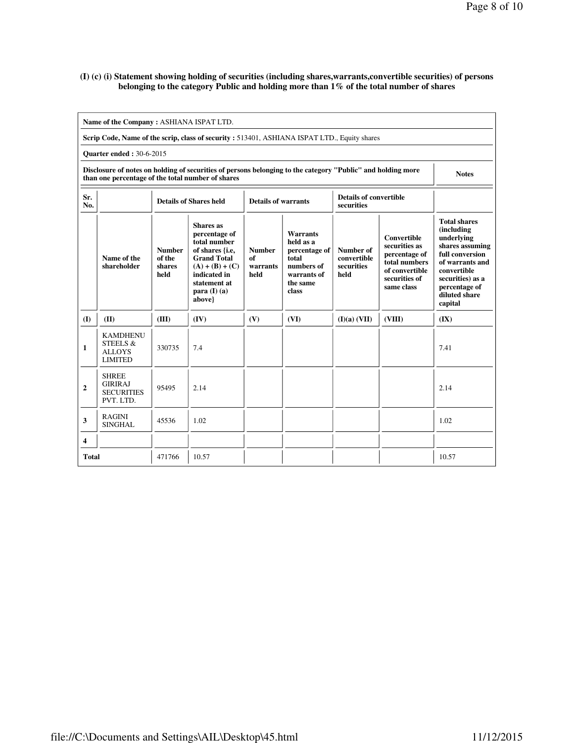### **(I) (c) (i) Statement showing holding of securities (including shares,warrants,convertible securities) of persons belonging to the category Public and holding more than 1% of the total number of shares**

|                                                                                                                                                                                  | Name of the Company: ASHIANA ISPAT LTD.                                                     |                                           |                                                                                                                                                                             |                                         |                                                                                                          |                                                                                                                                                                          |        |                                                                                                                                                                                          |  |  |  |  |
|----------------------------------------------------------------------------------------------------------------------------------------------------------------------------------|---------------------------------------------------------------------------------------------|-------------------------------------------|-----------------------------------------------------------------------------------------------------------------------------------------------------------------------------|-----------------------------------------|----------------------------------------------------------------------------------------------------------|--------------------------------------------------------------------------------------------------------------------------------------------------------------------------|--------|------------------------------------------------------------------------------------------------------------------------------------------------------------------------------------------|--|--|--|--|
|                                                                                                                                                                                  | Scrip Code, Name of the scrip, class of security: 513401, ASHIANA ISPAT LTD., Equity shares |                                           |                                                                                                                                                                             |                                         |                                                                                                          |                                                                                                                                                                          |        |                                                                                                                                                                                          |  |  |  |  |
|                                                                                                                                                                                  | <b>Ouarter ended: 30-6-2015</b>                                                             |                                           |                                                                                                                                                                             |                                         |                                                                                                          |                                                                                                                                                                          |        |                                                                                                                                                                                          |  |  |  |  |
| Disclosure of notes on holding of securities of persons belonging to the category "Public" and holding more<br><b>Notes</b><br>than one percentage of the total number of shares |                                                                                             |                                           |                                                                                                                                                                             |                                         |                                                                                                          |                                                                                                                                                                          |        |                                                                                                                                                                                          |  |  |  |  |
| Sr.<br>No.                                                                                                                                                                       |                                                                                             |                                           | <b>Details of Shares held</b>                                                                                                                                               | <b>Details of warrants</b>              |                                                                                                          | <b>Details of convertible</b><br>securities                                                                                                                              |        |                                                                                                                                                                                          |  |  |  |  |
|                                                                                                                                                                                  | Name of the<br>shareholder                                                                  | <b>Number</b><br>of the<br>shares<br>held | <b>Shares</b> as<br>percentage of<br>total number<br>of shares {i.e,<br><b>Grand Total</b><br>$(A) + (B) + (C)$<br>indicated in<br>statement at<br>para $(I)$ (a)<br>above} | <b>Number</b><br>of<br>warrants<br>held | <b>Warrants</b><br>held as a<br>percentage of<br>total<br>numbers of<br>warrants of<br>the same<br>class | <b>Convertible</b><br>securities as<br>Number of<br>percentage of<br>convertible<br>total numbers<br>securities<br>of convertible<br>held<br>securities of<br>same class |        | <b>Total shares</b><br>(including<br>underlying<br>shares assuming<br>full conversion<br>of warrants and<br>convertible<br>securities) as a<br>percentage of<br>diluted share<br>capital |  |  |  |  |
| (I)                                                                                                                                                                              | (II)                                                                                        | (III)                                     | (IV)                                                                                                                                                                        | (V)                                     | (VI)                                                                                                     | (I)(a) (VII)                                                                                                                                                             | (VIII) | (IX)                                                                                                                                                                                     |  |  |  |  |
| 1                                                                                                                                                                                | <b>KAMDHENU</b><br>STEELS &<br><b>ALLOYS</b><br><b>LIMITED</b>                              | 330735                                    | 7.4                                                                                                                                                                         |                                         |                                                                                                          |                                                                                                                                                                          |        | 7.41                                                                                                                                                                                     |  |  |  |  |
| $\mathbf{2}$                                                                                                                                                                     | <b>SHREE</b><br><b>GIRIRAJ</b><br><b>SECURITIES</b><br>PVT. LTD.                            | 95495                                     | 2.14                                                                                                                                                                        |                                         |                                                                                                          |                                                                                                                                                                          |        | 2.14                                                                                                                                                                                     |  |  |  |  |
| 3                                                                                                                                                                                | <b>RAGINI</b><br><b>SINGHAL</b>                                                             | 45536                                     | 1.02                                                                                                                                                                        |                                         |                                                                                                          |                                                                                                                                                                          |        | 1.02                                                                                                                                                                                     |  |  |  |  |
| $\overline{4}$                                                                                                                                                                   |                                                                                             |                                           |                                                                                                                                                                             |                                         |                                                                                                          |                                                                                                                                                                          |        |                                                                                                                                                                                          |  |  |  |  |
| Total                                                                                                                                                                            |                                                                                             | 471766                                    | 10.57                                                                                                                                                                       |                                         |                                                                                                          |                                                                                                                                                                          |        | 10.57                                                                                                                                                                                    |  |  |  |  |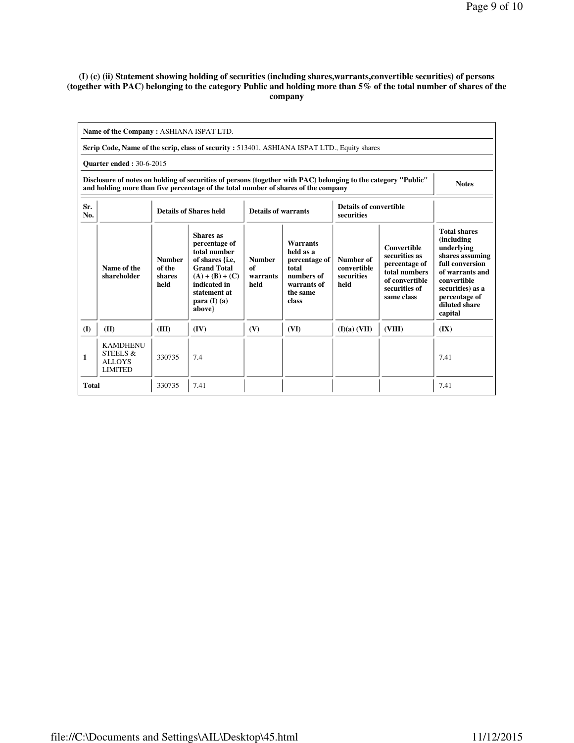#### **(I) (c) (ii) Statement showing holding of securities (including shares,warrants,convertible securities) of persons (together with PAC) belonging to the category Public and holding more than 5% of the total number of shares of the company**

|                                                                                                                                                                                                      | Name of the Company: ASHIANA ISPAT LTD.                        |                                                                                                     |                                                                                                                                                                             |                                         |                                                                                                          |                                                |                                                                                                                        |                                                                                                                                                                                                  |  |  |  |
|------------------------------------------------------------------------------------------------------------------------------------------------------------------------------------------------------|----------------------------------------------------------------|-----------------------------------------------------------------------------------------------------|-----------------------------------------------------------------------------------------------------------------------------------------------------------------------------|-----------------------------------------|----------------------------------------------------------------------------------------------------------|------------------------------------------------|------------------------------------------------------------------------------------------------------------------------|--------------------------------------------------------------------------------------------------------------------------------------------------------------------------------------------------|--|--|--|
| Scrip Code, Name of the scrip, class of security: 513401, ASHIANA ISPAT LTD., Equity shares                                                                                                          |                                                                |                                                                                                     |                                                                                                                                                                             |                                         |                                                                                                          |                                                |                                                                                                                        |                                                                                                                                                                                                  |  |  |  |
| <b>Ouarter ended: 30-6-2015</b>                                                                                                                                                                      |                                                                |                                                                                                     |                                                                                                                                                                             |                                         |                                                                                                          |                                                |                                                                                                                        |                                                                                                                                                                                                  |  |  |  |
| Disclosure of notes on holding of securities of persons (together with PAC) belonging to the category "Public"<br>and holding more than five percentage of the total number of shares of the company |                                                                |                                                                                                     |                                                                                                                                                                             |                                         |                                                                                                          |                                                |                                                                                                                        |                                                                                                                                                                                                  |  |  |  |
| Sr.<br>No.                                                                                                                                                                                           |                                                                | Details of convertible<br><b>Details of Shares held</b><br><b>Details of warrants</b><br>securities |                                                                                                                                                                             |                                         |                                                                                                          |                                                |                                                                                                                        |                                                                                                                                                                                                  |  |  |  |
|                                                                                                                                                                                                      | Name of the<br>shareholder                                     | <b>Number</b><br>of the<br>shares<br>held                                                           | <b>Shares</b> as<br>percentage of<br>total number<br>of shares {i.e,<br><b>Grand Total</b><br>$(A) + (B) + (C)$<br>indicated in<br>statement at<br>para $(I)$ (a)<br>above} | <b>Number</b><br>of<br>warrants<br>held | <b>Warrants</b><br>held as a<br>percentage of<br>total<br>numbers of<br>warrants of<br>the same<br>class | Number of<br>convertible<br>securities<br>held | <b>Convertible</b><br>securities as<br>percentage of<br>total numbers<br>of convertible<br>securities of<br>same class | <b>Total shares</b><br><i>(including)</i><br>underlying<br>shares assuming<br>full conversion<br>of warrants and<br>convertible<br>securities) as a<br>percentage of<br>diluted share<br>capital |  |  |  |
| $\mathbf{I}$                                                                                                                                                                                         | (II)                                                           | (III)                                                                                               | (IV)                                                                                                                                                                        | (V)                                     | (VI)                                                                                                     | (I)(a) (VII)                                   | (VIII)                                                                                                                 | (IX)                                                                                                                                                                                             |  |  |  |
| 1                                                                                                                                                                                                    | <b>KAMDHENU</b><br>STEELS &<br><b>ALLOYS</b><br><b>LIMITED</b> | 330735                                                                                              | 7.4                                                                                                                                                                         |                                         |                                                                                                          |                                                |                                                                                                                        | 7.41                                                                                                                                                                                             |  |  |  |
| <b>Total</b>                                                                                                                                                                                         |                                                                | 330735                                                                                              | 7.41                                                                                                                                                                        |                                         |                                                                                                          |                                                |                                                                                                                        | 7.41                                                                                                                                                                                             |  |  |  |